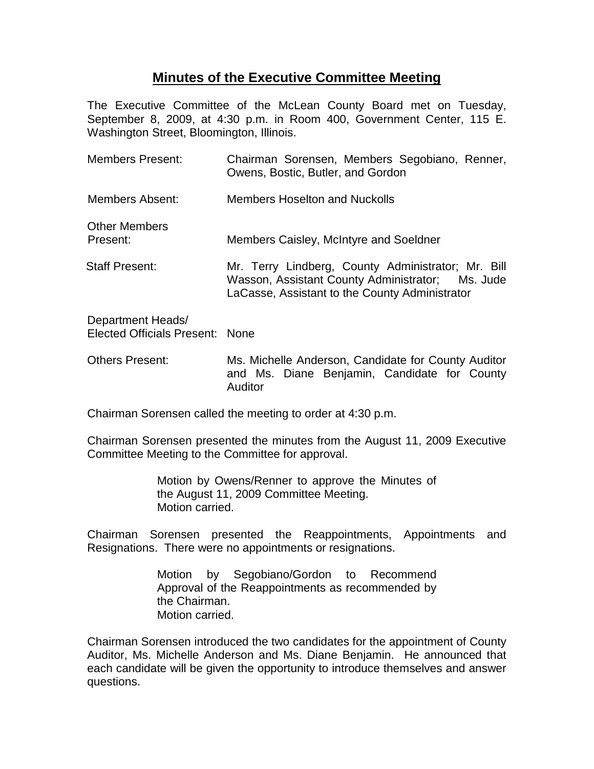## **Minutes of the Executive Committee Meeting**

The Executive Committee of the McLean County Board met on Tuesday, September 8, 2009, at 4:30 p.m. in Room 400, Government Center, 115 E. Washington Street, Bloomington, Illinois.

| <b>Members Present:</b>                              | Chairman Sorensen, Members Segobiano, Renner,<br>Owens, Bostic, Butler, and Gordon                                                                       |
|------------------------------------------------------|----------------------------------------------------------------------------------------------------------------------------------------------------------|
| Members Absent:                                      | Members Hoselton and Nuckolls                                                                                                                            |
| <b>Other Members</b><br>Present:                     | Members Caisley, McIntyre and Soeldner                                                                                                                   |
| <b>Staff Present:</b>                                | Mr. Terry Lindberg, County Administrator; Mr. Bill<br>Wasson, Assistant County Administrator; Ms. Jude<br>LaCasse, Assistant to the County Administrator |
| Department Heads/<br>Elected Officials Present: None |                                                                                                                                                          |
|                                                      |                                                                                                                                                          |

Others Present: Ms. Michelle Anderson, Candidate for County Auditor and Ms. Diane Benjamin, Candidate for County Auditor

Chairman Sorensen called the meeting to order at 4:30 p.m.

Chairman Sorensen presented the minutes from the August 11, 2009 Executive Committee Meeting to the Committee for approval.

> Motion by Owens/Renner to approve the Minutes of the August 11, 2009 Committee Meeting. Motion carried.

Chairman Sorensen presented the Reappointments, Appointments and Resignations. There were no appointments or resignations.

> Motion by Segobiano/Gordon to Recommend Approval of the Reappointments as recommended by the Chairman. Motion carried.

Chairman Sorensen introduced the two candidates for the appointment of County Auditor, Ms. Michelle Anderson and Ms. Diane Benjamin. He announced that each candidate will be given the opportunity to introduce themselves and answer questions.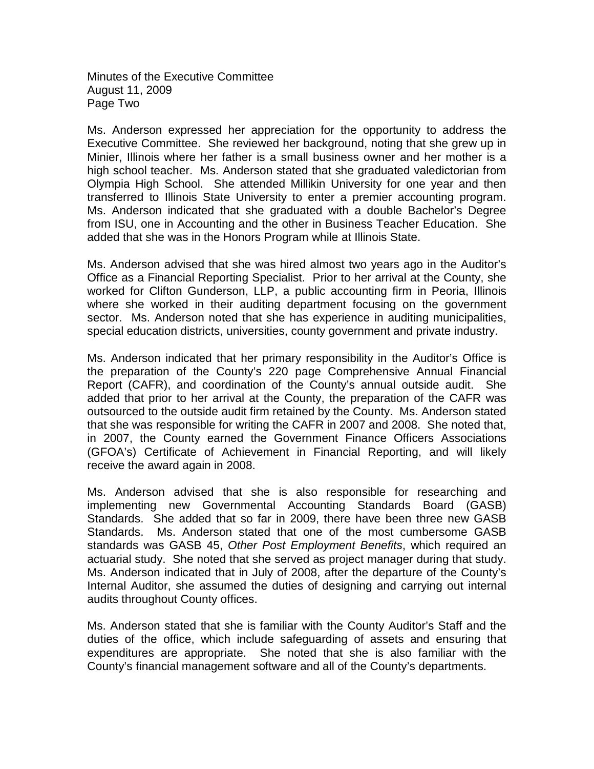Minutes of the Executive Committee August 11, 2009 Page Two

Ms. Anderson expressed her appreciation for the opportunity to address the Executive Committee. She reviewed her background, noting that she grew up in Minier, Illinois where her father is a small business owner and her mother is a high school teacher. Ms. Anderson stated that she graduated valedictorian from Olympia High School. She attended Millikin University for one year and then transferred to Illinois State University to enter a premier accounting program. Ms. Anderson indicated that she graduated with a double Bachelor's Degree from ISU, one in Accounting and the other in Business Teacher Education. She added that she was in the Honors Program while at Illinois State.

Ms. Anderson advised that she was hired almost two years ago in the Auditor's Office as a Financial Reporting Specialist. Prior to her arrival at the County, she worked for Clifton Gunderson, LLP, a public accounting firm in Peoria, Illinois where she worked in their auditing department focusing on the government sector. Ms. Anderson noted that she has experience in auditing municipalities, special education districts, universities, county government and private industry.

Ms. Anderson indicated that her primary responsibility in the Auditor's Office is the preparation of the County's 220 page Comprehensive Annual Financial Report (CAFR), and coordination of the County's annual outside audit. She added that prior to her arrival at the County, the preparation of the CAFR was outsourced to the outside audit firm retained by the County. Ms. Anderson stated that she was responsible for writing the CAFR in 2007 and 2008. She noted that, in 2007, the County earned the Government Finance Officers Associations (GFOA's) Certificate of Achievement in Financial Reporting, and will likely receive the award again in 2008.

Ms. Anderson advised that she is also responsible for researching and implementing new Governmental Accounting Standards Board (GASB) Standards. She added that so far in 2009, there have been three new GASB Standards. Ms. Anderson stated that one of the most cumbersome GASB standards was GASB 45, *Other Post Employment Benefits*, which required an actuarial study. She noted that she served as project manager during that study. Ms. Anderson indicated that in July of 2008, after the departure of the County's Internal Auditor, she assumed the duties of designing and carrying out internal audits throughout County offices.

Ms. Anderson stated that she is familiar with the County Auditor's Staff and the duties of the office, which include safeguarding of assets and ensuring that expenditures are appropriate. She noted that she is also familiar with the County's financial management software and all of the County's departments.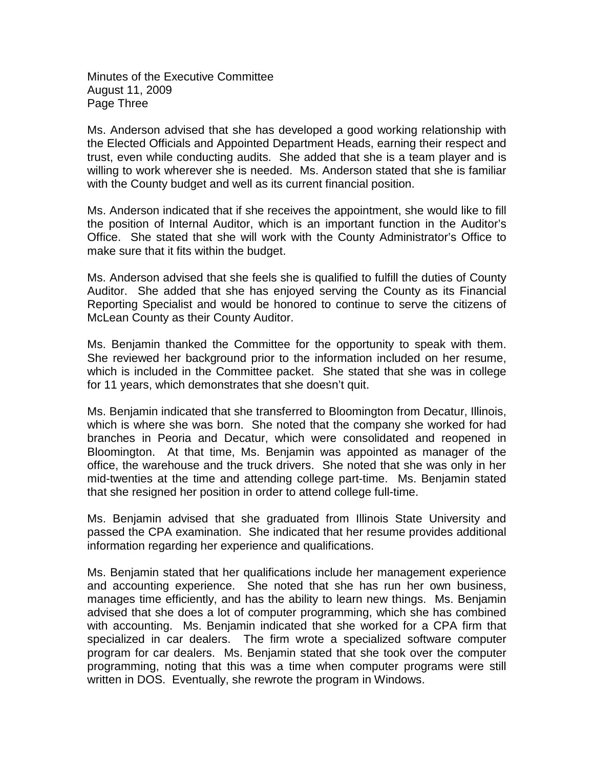Minutes of the Executive Committee August 11, 2009 Page Three

Ms. Anderson advised that she has developed a good working relationship with the Elected Officials and Appointed Department Heads, earning their respect and trust, even while conducting audits. She added that she is a team player and is willing to work wherever she is needed. Ms. Anderson stated that she is familiar with the County budget and well as its current financial position.

Ms. Anderson indicated that if she receives the appointment, she would like to fill the position of Internal Auditor, which is an important function in the Auditor's Office. She stated that she will work with the County Administrator's Office to make sure that it fits within the budget.

Ms. Anderson advised that she feels she is qualified to fulfill the duties of County Auditor. She added that she has enjoyed serving the County as its Financial Reporting Specialist and would be honored to continue to serve the citizens of McLean County as their County Auditor.

Ms. Benjamin thanked the Committee for the opportunity to speak with them. She reviewed her background prior to the information included on her resume, which is included in the Committee packet. She stated that she was in college for 11 years, which demonstrates that she doesn't quit.

Ms. Benjamin indicated that she transferred to Bloomington from Decatur, Illinois, which is where she was born. She noted that the company she worked for had branches in Peoria and Decatur, which were consolidated and reopened in Bloomington. At that time, Ms. Benjamin was appointed as manager of the office, the warehouse and the truck drivers. She noted that she was only in her mid-twenties at the time and attending college part-time. Ms. Benjamin stated that she resigned her position in order to attend college full-time.

Ms. Benjamin advised that she graduated from Illinois State University and passed the CPA examination. She indicated that her resume provides additional information regarding her experience and qualifications.

Ms. Benjamin stated that her qualifications include her management experience and accounting experience. She noted that she has run her own business, manages time efficiently, and has the ability to learn new things. Ms. Benjamin advised that she does a lot of computer programming, which she has combined with accounting. Ms. Benjamin indicated that she worked for a CPA firm that specialized in car dealers. The firm wrote a specialized software computer program for car dealers. Ms. Benjamin stated that she took over the computer programming, noting that this was a time when computer programs were still written in DOS. Eventually, she rewrote the program in Windows.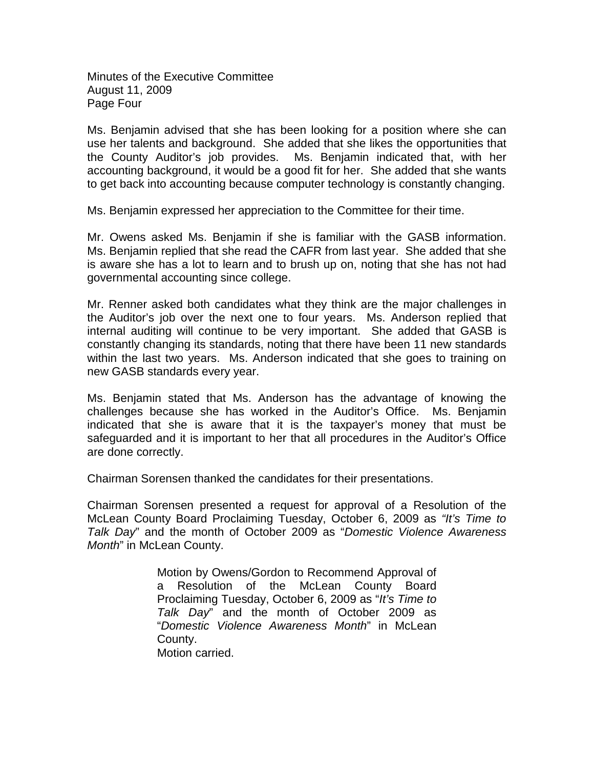Minutes of the Executive Committee August 11, 2009 Page Four

Ms. Benjamin advised that she has been looking for a position where she can use her talents and background. She added that she likes the opportunities that the County Auditor's job provides. Ms. Benjamin indicated that, with her accounting background, it would be a good fit for her. She added that she wants to get back into accounting because computer technology is constantly changing.

Ms. Benjamin expressed her appreciation to the Committee for their time.

Mr. Owens asked Ms. Benjamin if she is familiar with the GASB information. Ms. Benjamin replied that she read the CAFR from last year. She added that she is aware she has a lot to learn and to brush up on, noting that she has not had governmental accounting since college.

Mr. Renner asked both candidates what they think are the major challenges in the Auditor's job over the next one to four years. Ms. Anderson replied that internal auditing will continue to be very important. She added that GASB is constantly changing its standards, noting that there have been 11 new standards within the last two years. Ms. Anderson indicated that she goes to training on new GASB standards every year.

Ms. Benjamin stated that Ms. Anderson has the advantage of knowing the challenges because she has worked in the Auditor's Office. Ms. Benjamin indicated that she is aware that it is the taxpayer's money that must be safeguarded and it is important to her that all procedures in the Auditor's Office are done correctly.

Chairman Sorensen thanked the candidates for their presentations.

Chairman Sorensen presented a request for approval of a Resolution of the McLean County Board Proclaiming Tuesday, October 6, 2009 as *"It's Time to Talk Day*" and the month of October 2009 as "*Domestic Violence Awareness Month*" in McLean County.

> Motion by Owens/Gordon to Recommend Approval of a Resolution of the McLean County Board Proclaiming Tuesday, October 6, 2009 as "*It's Time to Talk Day*" and the month of October 2009 as "*Domestic Violence Awareness Month*" in McLean County. Motion carried.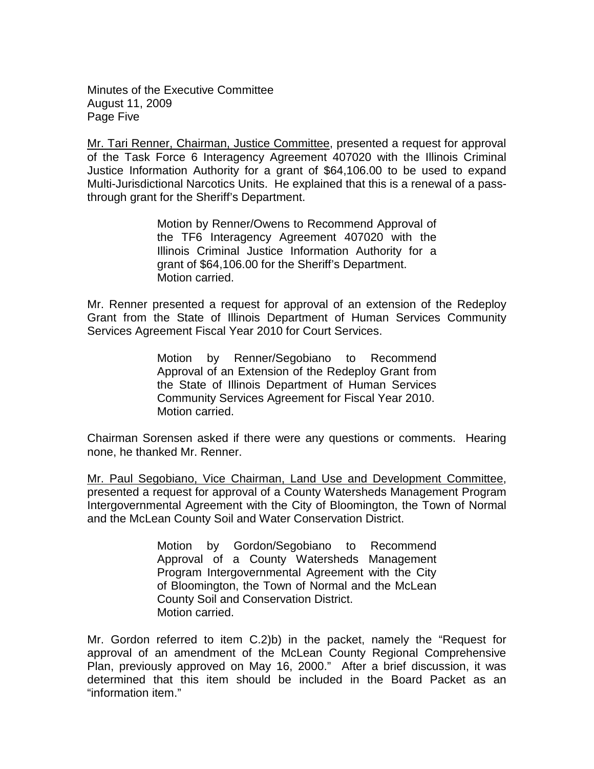Minutes of the Executive Committee August 11, 2009 Page Five

Mr. Tari Renner, Chairman, Justice Committee, presented a request for approval of the Task Force 6 Interagency Agreement 407020 with the Illinois Criminal Justice Information Authority for a grant of \$64,106.00 to be used to expand Multi-Jurisdictional Narcotics Units. He explained that this is a renewal of a passthrough grant for the Sheriff's Department.

> Motion by Renner/Owens to Recommend Approval of the TF6 Interagency Agreement 407020 with the Illinois Criminal Justice Information Authority for a grant of \$64,106.00 for the Sheriff's Department. Motion carried.

Mr. Renner presented a request for approval of an extension of the Redeploy Grant from the State of Illinois Department of Human Services Community Services Agreement Fiscal Year 2010 for Court Services.

> Motion by Renner/Segobiano to Recommend Approval of an Extension of the Redeploy Grant from the State of Illinois Department of Human Services Community Services Agreement for Fiscal Year 2010. Motion carried.

Chairman Sorensen asked if there were any questions or comments. Hearing none, he thanked Mr. Renner.

Mr. Paul Segobiano, Vice Chairman, Land Use and Development Committee, presented a request for approval of a County Watersheds Management Program Intergovernmental Agreement with the City of Bloomington, the Town of Normal and the McLean County Soil and Water Conservation District.

> Motion by Gordon/Segobiano to Recommend Approval of a County Watersheds Management Program Intergovernmental Agreement with the City of Bloomington, the Town of Normal and the McLean County Soil and Conservation District. Motion carried.

Mr. Gordon referred to item C.2)b) in the packet, namely the "Request for approval of an amendment of the McLean County Regional Comprehensive Plan, previously approved on May 16, 2000." After a brief discussion, it was determined that this item should be included in the Board Packet as an "information item."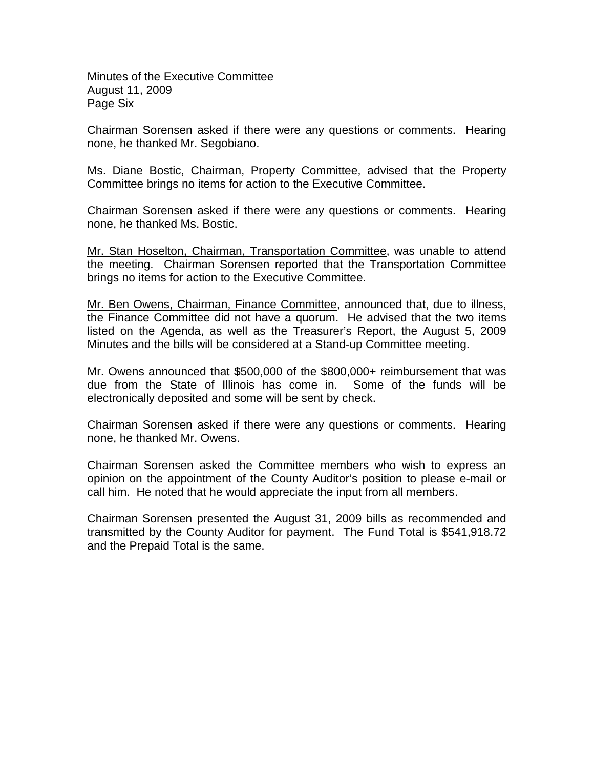Minutes of the Executive Committee August 11, 2009 Page Six

Chairman Sorensen asked if there were any questions or comments. Hearing none, he thanked Mr. Segobiano.

Ms. Diane Bostic, Chairman, Property Committee, advised that the Property Committee brings no items for action to the Executive Committee.

Chairman Sorensen asked if there were any questions or comments. Hearing none, he thanked Ms. Bostic.

Mr. Stan Hoselton, Chairman, Transportation Committee, was unable to attend the meeting. Chairman Sorensen reported that the Transportation Committee brings no items for action to the Executive Committee.

Mr. Ben Owens, Chairman, Finance Committee, announced that, due to illness, the Finance Committee did not have a quorum. He advised that the two items listed on the Agenda, as well as the Treasurer's Report, the August 5, 2009 Minutes and the bills will be considered at a Stand-up Committee meeting.

Mr. Owens announced that \$500,000 of the \$800,000+ reimbursement that was due from the State of Illinois has come in. Some of the funds will be electronically deposited and some will be sent by check.

Chairman Sorensen asked if there were any questions or comments. Hearing none, he thanked Mr. Owens.

Chairman Sorensen asked the Committee members who wish to express an opinion on the appointment of the County Auditor's position to please e-mail or call him. He noted that he would appreciate the input from all members.

Chairman Sorensen presented the August 31, 2009 bills as recommended and transmitted by the County Auditor for payment. The Fund Total is \$541,918.72 and the Prepaid Total is the same.